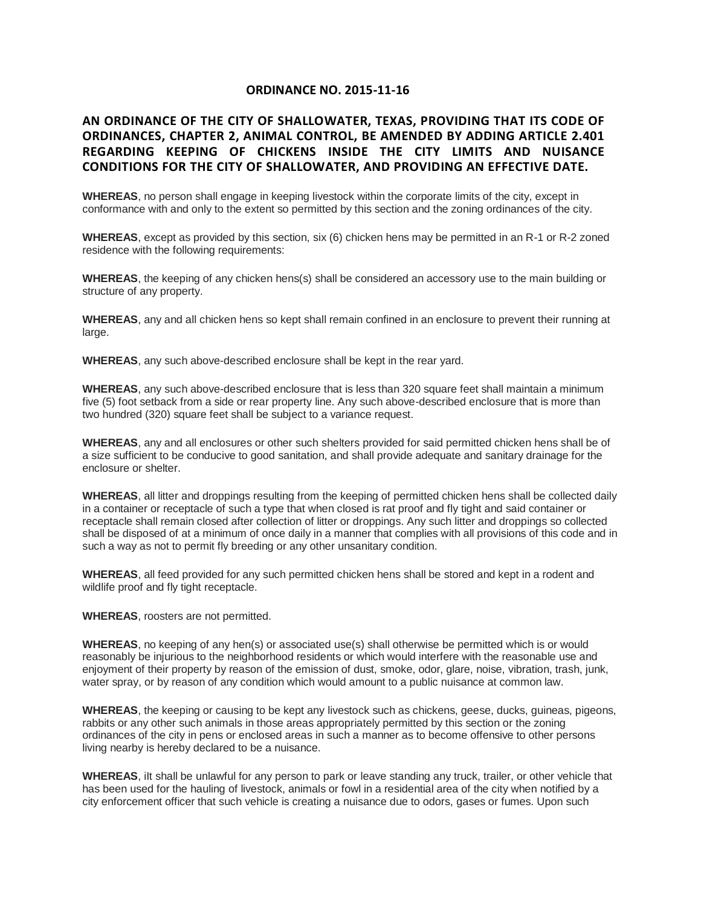## **ORDINANCE NO. 2015-11-16**

## **AN ORDINANCE OF THE CITY OF SHALLOWATER, TEXAS, PROVIDING THAT ITS CODE OF ORDINANCES, CHAPTER 2, ANIMAL CONTROL, BE AMENDED BY ADDING ARTICLE 2.401 REGARDING KEEPING OF CHICKENS INSIDE THE CITY LIMITS AND NUISANCE CONDITIONS FOR THE CITY OF SHALLOWATER, AND PROVIDING AN EFFECTIVE DATE.**

**WHEREAS**, no person shall engage in keeping livestock within the corporate limits of the city, except in conformance with and only to the extent so permitted by this section and the zoning ordinances of the city.

**WHEREAS**, except as provided by this section, six (6) chicken hens may be permitted in an R-1 or R-2 zoned residence with the following requirements:

**WHEREAS**, the keeping of any chicken hens(s) shall be considered an accessory use to the main building or structure of any property.

**WHEREAS**, any and all chicken hens so kept shall remain confined in an enclosure to prevent their running at large.

**WHEREAS**, any such above-described enclosure shall be kept in the rear yard.

**WHEREAS**, any such above-described enclosure that is less than 320 square feet shall maintain a minimum five (5) foot setback from a side or rear property line. Any such above-described enclosure that is more than two hundred (320) square feet shall be subject to a variance request.

**WHEREAS**, any and all enclosures or other such shelters provided for said permitted chicken hens shall be of a size sufficient to be conducive to good sanitation, and shall provide adequate and sanitary drainage for the enclosure or shelter.

**WHEREAS**, all litter and droppings resulting from the keeping of permitted chicken hens shall be collected daily in a container or receptacle of such a type that when closed is rat proof and fly tight and said container or receptacle shall remain closed after collection of litter or droppings. Any such litter and droppings so collected shall be disposed of at a minimum of once daily in a manner that complies with all provisions of this code and in such a way as not to permit fly breeding or any other unsanitary condition.

**WHEREAS**, all feed provided for any such permitted chicken hens shall be stored and kept in a rodent and wildlife proof and fly tight receptacle.

**WHEREAS**, roosters are not permitted.

**WHEREAS**, no keeping of any hen(s) or associated use(s) shall otherwise be permitted which is or would reasonably be injurious to the neighborhood residents or which would interfere with the reasonable use and enjoyment of their property by reason of the emission of dust, smoke, odor, glare, noise, vibration, trash, junk, water spray, or by reason of any condition which would amount to a public nuisance at common law.

**WHEREAS**, the keeping or causing to be kept any livestock such as chickens, geese, ducks, guineas, pigeons, rabbits or any other such animals in those areas appropriately permitted by this section or the zoning ordinances of the city in pens or enclosed areas in such a manner as to become offensive to other persons living nearby is hereby declared to be a nuisance.

**WHEREAS**, iIt shall be unlawful for any person to park or leave standing any truck, trailer, or other vehicle that has been used for the hauling of livestock, animals or fowl in a residential area of the city when notified by a city enforcement officer that such vehicle is creating a nuisance due to odors, gases or fumes. Upon such